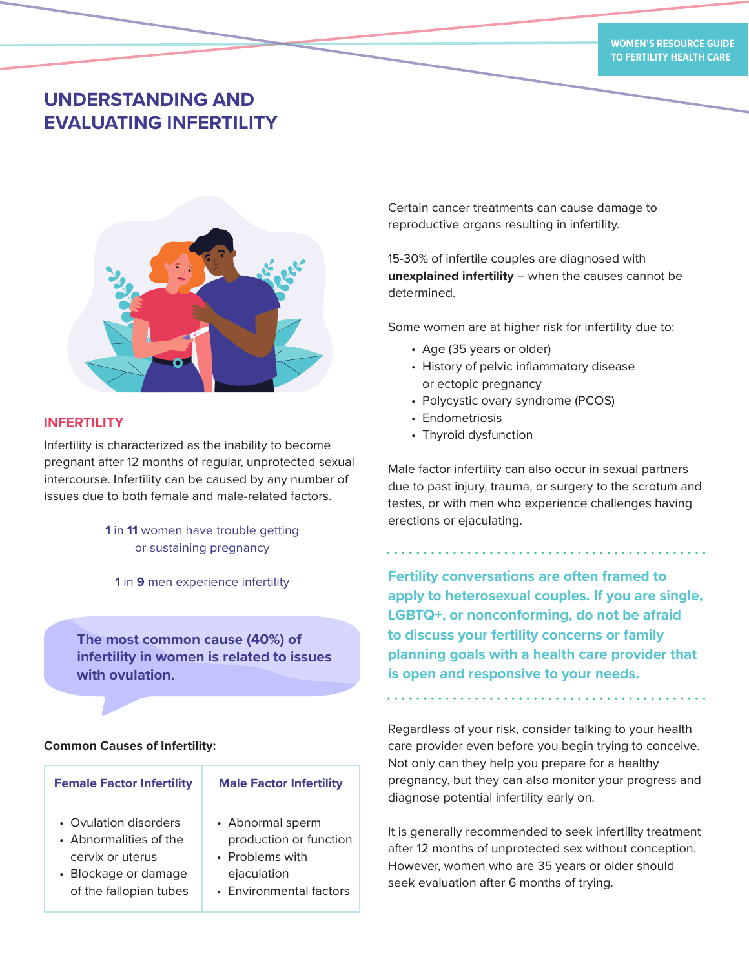# **UNDERSTANDING AND EVALUATING INFERTILITY**



# **INFERTILITY**

Infertility is characterized as the inability to become pregnant after 12 months of regular, unprotected sexual intercourse. Infertility can be caused by any number of issues due to both female and male-related factors.

# **1** in **11** women have trouble getting or sustaining pregnancy

**The most common cause (40%) of infertility in women is related to issues with ovulation.**

### **Common Causes of Infertility:**

| <b>Female Factor Infertility</b> | <b>Male Factor Infertility</b> |
|----------------------------------|--------------------------------|
| • Ovulation disorders            | • Abnormal sperm               |
| • Abnormalities of the           | production or function         |
| cervix or uterus                 | • Problems with                |
| • Blockage or damage             | ejaculation                    |
| of the fallopian tubes           | • Environmental factors        |

Certain cancer treatments can cause damage to reproductive organs resulting in infertility.

15-30% of infertile couples are diagnosed with **unexplained infertility** – when the causes cannot be determined.

Some women are at higher risk for infertility due to:

- Age (35 years or older)
- History of pelvic inflammatory disease or ectopic pregnancy
- Polycystic ovary syndrome (PCOS)
- Endometriosis
- Thyroid dysfunction

Male factor infertility can also occur in sexual partners due to past injury, trauma, or surgery to the scrotum and testes, or with men who experience challenges having erections or ejaculating.

**<sup>1</sup>** in **9** men experience infertility **Fertility conversations are often framed to apply to heterosexual couples. If you are single, LGBTQ+, or nonconforming, do not be afraid to discuss your fertility concerns or family planning goals with a health care provider that is open and responsive to your needs.**

> Regardless of your risk, consider talking to your health care provider even before you begin trying to conceive. Not only can they help you prepare for a healthy pregnancy, but they can also monitor your progress and diagnose potential infertility early on.

> It is generally recommended to seek infertility treatment after 12 months of unprotected sex without conception. However, women who are 35 years or older should seek evaluation after 6 months of trying.